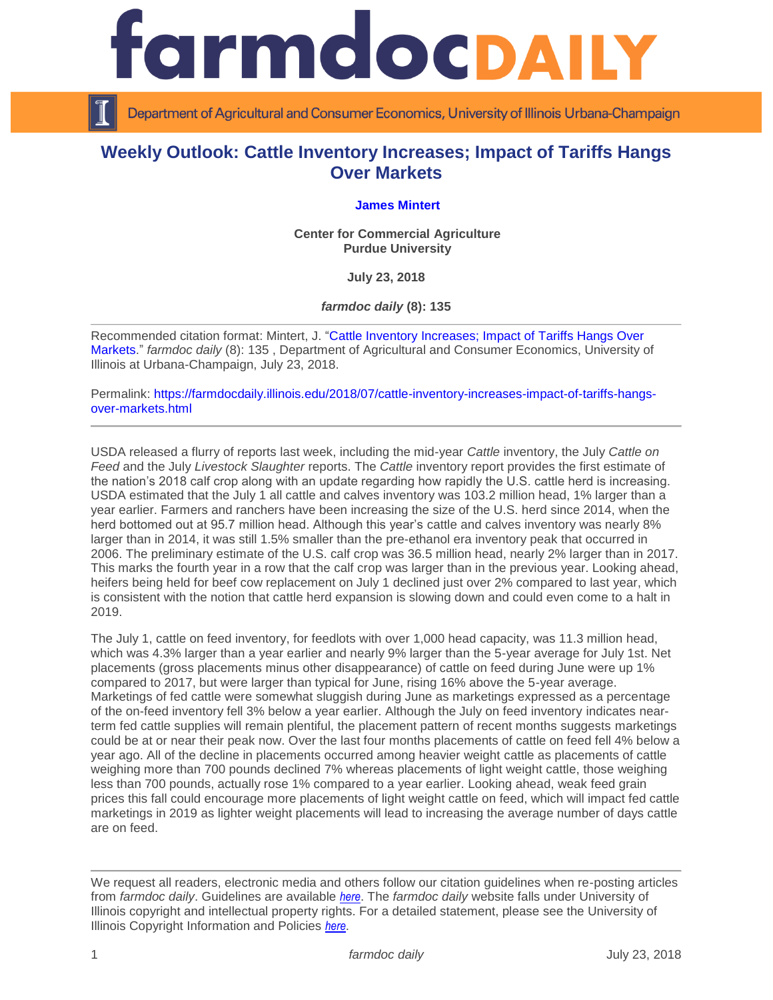



Department of Agricultural and Consumer Economics, University of Illinois Urbana-Champaign

## **Weekly Outlook: Cattle Inventory Increases; Impact of Tariffs Hangs Over Markets**

## **[James Mintert](https://ag.purdue.edu/commercialag/ageconomybarometer/team/jim-mintert/)**

**Center for Commercial Agriculture Purdue University**

**July 23, 2018**

*farmdoc daily* **(8): 135**

Recommended citation format: Mintert, J. ["Cattle Inventory Increases; Impact of Tariffs Hangs Over](https://farmdocdaily.illinois.edu/2018/07/cattle-inventory-increases-impact-of-tariffs-hangs-over-markets.html)  [Markets.](https://farmdocdaily.illinois.edu/2018/07/cattle-inventory-increases-impact-of-tariffs-hangs-over-markets.html)" *farmdoc daily* (8): 135 , Department of Agricultural and Consumer Economics, University of Illinois at Urbana-Champaign, July 23, 2018.

Permalink: [https://farmdocdaily.illinois.edu/2018/07/cattle-inventory-increases-impact-of-tariffs-hangs](https://farmdocdaily.illinois.edu/2018/07/cattle-inventory-increases-impact-of-tariffs-hangs-over-markets.html)[over-markets.html](https://farmdocdaily.illinois.edu/2018/07/cattle-inventory-increases-impact-of-tariffs-hangs-over-markets.html)

USDA released a flurry of reports last week, including the mid-year *Cattle* inventory, the July *Cattle on Feed* and the July *Livestock Slaughter* reports. The *Cattle* inventory report provides the first estimate of the nation's 2018 calf crop along with an update regarding how rapidly the U.S. cattle herd is increasing. USDA estimated that the July 1 all cattle and calves inventory was 103.2 million head, 1% larger than a year earlier. Farmers and ranchers have been increasing the size of the U.S. herd since 2014, when the herd bottomed out at 95.7 million head. Although this year's cattle and calves inventory was nearly 8% larger than in 2014, it was still 1.5% smaller than the pre-ethanol era inventory peak that occurred in 2006. The preliminary estimate of the U.S. calf crop was 36.5 million head, nearly 2% larger than in 2017. This marks the fourth year in a row that the calf crop was larger than in the previous year. Looking ahead, heifers being held for beef cow replacement on July 1 declined just over 2% compared to last year, which is consistent with the notion that cattle herd expansion is slowing down and could even come to a halt in 2019.

The July 1, cattle on feed inventory, for feedlots with over 1,000 head capacity, was 11.3 million head, which was 4.3% larger than a year earlier and nearly 9% larger than the 5-year average for July 1st. Net placements (gross placements minus other disappearance) of cattle on feed during June were up 1% compared to 2017, but were larger than typical for June, rising 16% above the 5-year average. Marketings of fed cattle were somewhat sluggish during June as marketings expressed as a percentage of the on-feed inventory fell 3% below a year earlier. Although the July on feed inventory indicates nearterm fed cattle supplies will remain plentiful, the placement pattern of recent months suggests marketings could be at or near their peak now. Over the last four months placements of cattle on feed fell 4% below a year ago. All of the decline in placements occurred among heavier weight cattle as placements of cattle weighing more than 700 pounds declined 7% whereas placements of light weight cattle, those weighing less than 700 pounds, actually rose 1% compared to a year earlier. Looking ahead, weak feed grain prices this fall could encourage more placements of light weight cattle on feed, which will impact fed cattle marketings in 2019 as lighter weight placements will lead to increasing the average number of days cattle are on feed.

We request all readers, electronic media and others follow our citation guidelines when re-posting articles from *farmdoc daily*. Guidelines are available *[here](http://farmdocdaily.illinois.edu/citationguide.html)*. The *farmdoc daily* website falls under University of Illinois copyright and intellectual property rights. For a detailed statement, please see the University of Illinois Copyright Information and Policies *[here](http://www.cio.illinois.edu/policies/copyright/)*.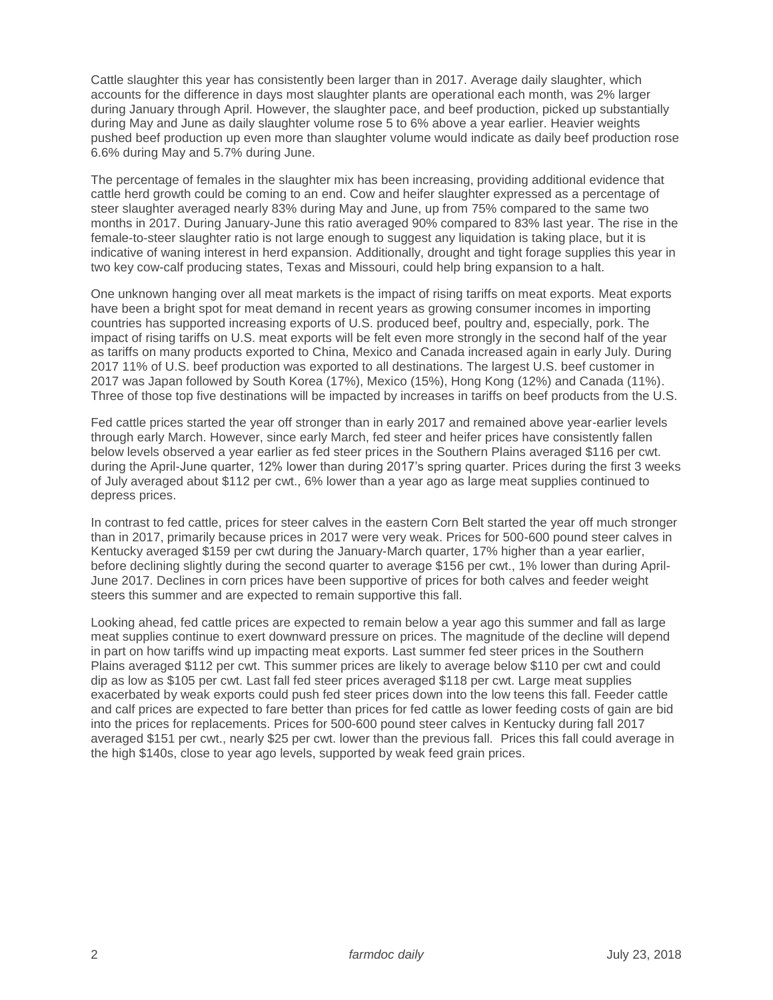Cattle slaughter this year has consistently been larger than in 2017. Average daily slaughter, which accounts for the difference in days most slaughter plants are operational each month, was 2% larger during January through April. However, the slaughter pace, and beef production, picked up substantially during May and June as daily slaughter volume rose 5 to 6% above a year earlier. Heavier weights pushed beef production up even more than slaughter volume would indicate as daily beef production rose 6.6% during May and 5.7% during June.

The percentage of females in the slaughter mix has been increasing, providing additional evidence that cattle herd growth could be coming to an end. Cow and heifer slaughter expressed as a percentage of steer slaughter averaged nearly 83% during May and June, up from 75% compared to the same two months in 2017. During January-June this ratio averaged 90% compared to 83% last year. The rise in the female-to-steer slaughter ratio is not large enough to suggest any liquidation is taking place, but it is indicative of waning interest in herd expansion. Additionally, drought and tight forage supplies this year in two key cow-calf producing states, Texas and Missouri, could help bring expansion to a halt.

One unknown hanging over all meat markets is the impact of rising tariffs on meat exports. Meat exports have been a bright spot for meat demand in recent years as growing consumer incomes in importing countries has supported increasing exports of U.S. produced beef, poultry and, especially, pork. The impact of rising tariffs on U.S. meat exports will be felt even more strongly in the second half of the year as tariffs on many products exported to China, Mexico and Canada increased again in early July. During 2017 11% of U.S. beef production was exported to all destinations. The largest U.S. beef customer in 2017 was Japan followed by South Korea (17%), Mexico (15%), Hong Kong (12%) and Canada (11%). Three of those top five destinations will be impacted by increases in tariffs on beef products from the U.S.

Fed cattle prices started the year off stronger than in early 2017 and remained above year-earlier levels through early March. However, since early March, fed steer and heifer prices have consistently fallen below levels observed a year earlier as fed steer prices in the Southern Plains averaged \$116 per cwt. during the April-June quarter, 12% lower than during 2017's spring quarter. Prices during the first 3 weeks of July averaged about \$112 per cwt., 6% lower than a year ago as large meat supplies continued to depress prices.

In contrast to fed cattle, prices for steer calves in the eastern Corn Belt started the year off much stronger than in 2017, primarily because prices in 2017 were very weak. Prices for 500-600 pound steer calves in Kentucky averaged \$159 per cwt during the January-March quarter, 17% higher than a year earlier, before declining slightly during the second quarter to average \$156 per cwt., 1% lower than during April-June 2017. Declines in corn prices have been supportive of prices for both calves and feeder weight steers this summer and are expected to remain supportive this fall.

Looking ahead, fed cattle prices are expected to remain below a year ago this summer and fall as large meat supplies continue to exert downward pressure on prices. The magnitude of the decline will depend in part on how tariffs wind up impacting meat exports. Last summer fed steer prices in the Southern Plains averaged \$112 per cwt. This summer prices are likely to average below \$110 per cwt and could dip as low as \$105 per cwt. Last fall fed steer prices averaged \$118 per cwt. Large meat supplies exacerbated by weak exports could push fed steer prices down into the low teens this fall. Feeder cattle and calf prices are expected to fare better than prices for fed cattle as lower feeding costs of gain are bid into the prices for replacements. Prices for 500-600 pound steer calves in Kentucky during fall 2017 averaged \$151 per cwt., nearly \$25 per cwt. lower than the previous fall. Prices this fall could average in the high \$140s, close to year ago levels, supported by weak feed grain prices.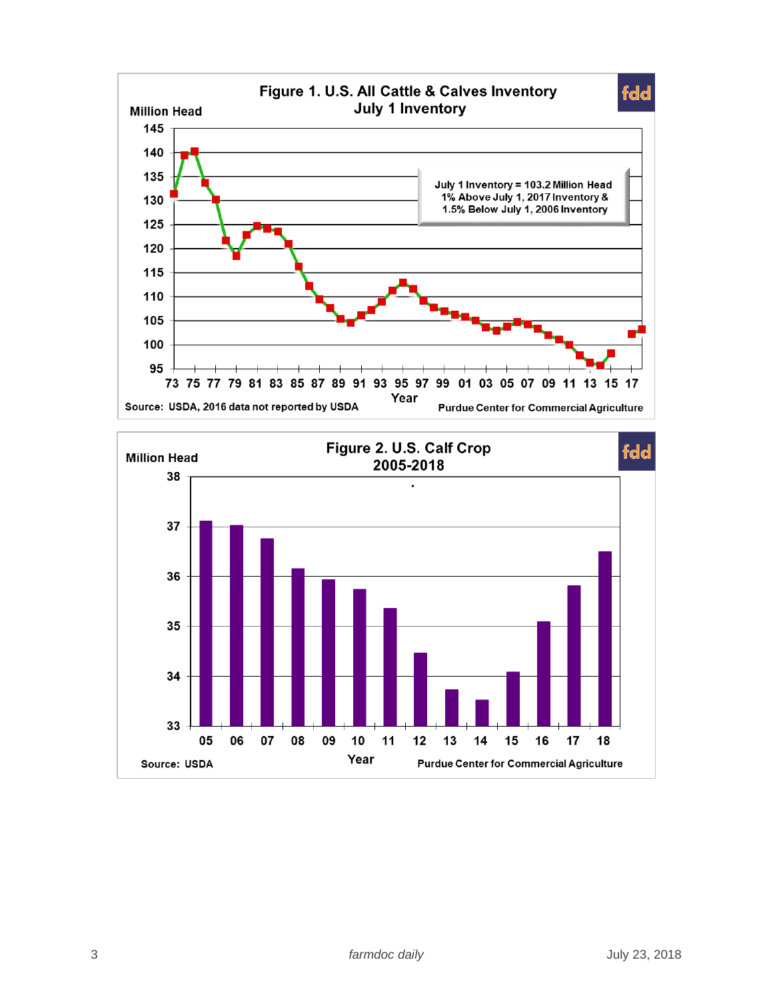